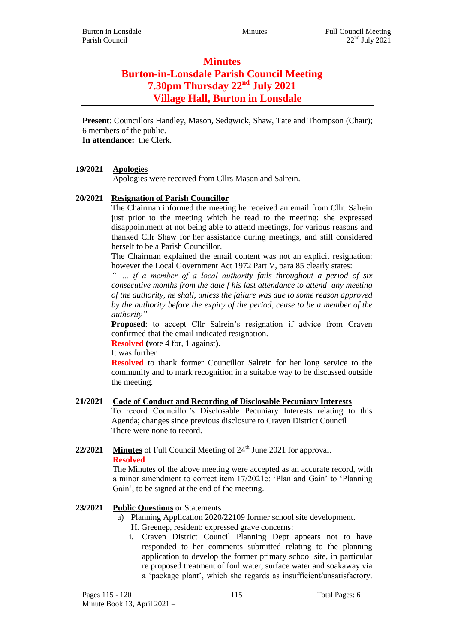# **Minutes Burton-in-Lonsdale Parish Council Meeting 7.30pm Thursday 22nd July 2021 Village Hall, Burton in Lonsdale**

**Present**: Councillors Handley, Mason, Sedgwick, Shaw, Tate and Thompson (Chair); 6 members of the public. **In attendance:** the Clerk.

# **19/2021 Apologies**

Apologies were received from Cllrs Mason and Salrein.

# **20/2021 Resignation of Parish Councillor**

The Chairman informed the meeting he received an email from Cllr. Salrein just prior to the meeting which he read to the meeting: she expressed disappointment at not being able to attend meetings, for various reasons and thanked Cllr Shaw for her assistance during meetings, and still considered herself to be a Parish Councillor.

The Chairman explained the email content was not an explicit resignation; however the Local Government Act 1972 Part V, para 85 clearly states:

*" .... if a member of a local authority fails throughout a period of six consecutive months from the date f his last attendance to attend any meeting of the authority, he shall, unless the failure was due to some reason approved by the authority before the expiry of the period, cease to be a member of the authority"*

**Proposed:** to accept Cllr Salrein's resignation if advice from Craven confirmed that the email indicated resignation.

**Resolved (**vote 4 for, 1 against**).**

It was further

**Resolved** to thank former Councillor Salrein for her long service to the community and to mark recognition in a suitable way to be discussed outside the meeting.

#### **21/2021 Code of Conduct and Recording of Disclosable Pecuniary Interests**

To record Councillor's Disclosable Pecuniary Interests relating to this Agenda; changes since previous disclosure to Craven District Council There were none to record.

# **22/2021 Minutes** of Full Council Meeting of 24<sup>th</sup> June 2021 for approval. **Resolved**

The Minutes of the above meeting were accepted as an accurate record, with a minor amendment to correct item 17/2021c: 'Plan and Gain' to 'Planning Gain', to be signed at the end of the meeting.

# **23/2021 Public Questions** or Statements

- a) Planning Application 2020/22109 former school site development.
	- H. Greenep, resident: expressed grave concerns:
	- i. Craven District Council Planning Dept appears not to have responded to her comments submitted relating to the planning application to develop the former primary school site, in particular re proposed treatment of foul water, surface water and soakaway via a 'package plant', which she regards as insufficient/unsatisfactory.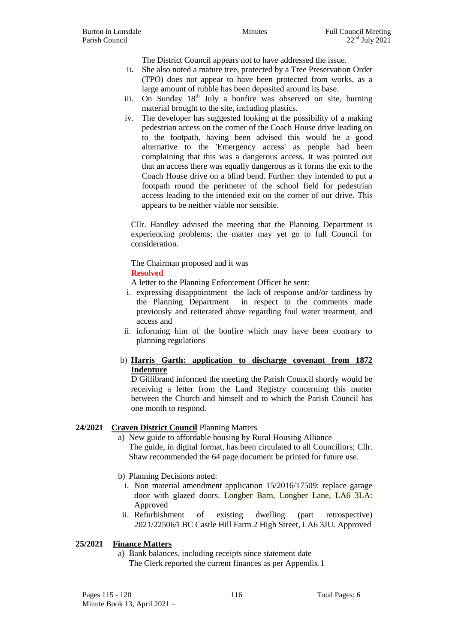The District Council appears not to have addressed the issue.

- ii. She also noted a mature tree, protected by a Tree Preservation Order (TPO) does not appear to have been protected from works, as a large amount of rubble has been deposited around its base.
- iii. On Sunday  $18<sup>th</sup>$  July a bonfire was observed on site, burning material brought to the site, including plastics.
- iv. The developer has suggested looking at the possibility of a making pedestrian access on the corner of the Coach House drive leading on to the footpath, having been advised this would be a good alternative to the 'Emergency access' as people had been complaining that this was a dangerous access. It was pointed out that an access there was equally dangerous as it forms the exit to the Coach House drive on a blind bend. Further: they intended to put a footpath round the perimeter of the school field for pedestrian access leading to the intended exit on the corner of our drive. This appears to be neither viable nor sensible.

Cllr. Handley advised the meeting that the Planning Department is experiencing problems; the matter may yet go to full Council for consideration.

The Chairman proposed and it was

#### **Resolved**

A letter to the Planning Enforcement Officer be sent:

- i. expressing disappointment the lack of response and/or tardiness by the Planning Department in respect to the comments made previously and reiterated above regarding foul water treatment, and access and
- ii. informing him of the bonfire which may have been contrary to planning regulations

# b) **Harris Garth: application to discharge covenant from 1872 Indenture**

D Gillibrand informed the meeting the Parish Council shortly would be receiving a letter from the Land Registry concerning this matter between the Church and himself and to which the Parish Council has one month to respond.

#### **24/2021 Craven District Council** Planning Matters

- a) New guide to affordable housing by Rural Housing Alliance The guide, in digital format, has been circulated to all Councillors; Cllr. Shaw recommended the 64 page document be printed for future use.
- b) Planning Decisions noted:
	- i. Non material amendment application 15/2016/17509: replace garage door with glazed doors. Longber Barn, Longber Lane, LA6 3LA: Approved
- ii. Refurbishment of existing dwelling (part retrospective) 2021/22506/LBC Castle Hill Farm 2 High Street, LA6 3JU. Approved

#### **25/2021 Finance Matters**

a) Bank balances, including receipts since statement date The Clerk reported the current finances as per Appendix 1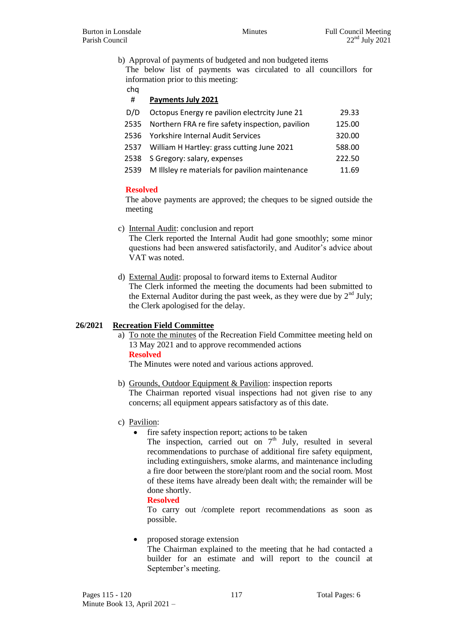b) Approval of payments of budgeted and non budgeted items

The below list of payments was circulated to all councillors for information prior to this meeting:

cha

# # **Payments July 2021**

| D/D  | Octopus Energy re pavilion electrcity June 21        | 29.33  |
|------|------------------------------------------------------|--------|
| 2535 | Northern FRA re fire safety inspection, pavilion     | 125.00 |
|      | 2536 Yorkshire Internal Audit Services               | 320.00 |
|      | 2537 William H Hartley: grass cutting June 2021      | 588.00 |
|      | 2538 S Gregory: salary, expenses                     | 222.50 |
|      | 2539 M Illsley re materials for pavilion maintenance | 11.69  |

#### **Resolved**

The above payments are approved; the cheques to be signed outside the meeting

- c) Internal Audit: conclusion and report The Clerk reported the Internal Audit had gone smoothly; some minor questions had been answered satisfactorily, and Auditor's advice about VAT was noted.
- d) External Audit: proposal to forward items to External Auditor The Clerk informed the meeting the documents had been submitted to the External Auditor during the past week, as they were due by  $2<sup>nd</sup>$  July; the Clerk apologised for the delay.

# **26/2021 Recreation Field Committee**

a) To note the minutes of the Recreation Field Committee meeting held on 13 May 2021 and to approve recommended actions **Resolved**

The Minutes were noted and various actions approved.

- b) Grounds, Outdoor Equipment & Pavilion: inspection reports The Chairman reported visual inspections had not given rise to any concerns; all equipment appears satisfactory as of this date.
- c) Pavilion:
	- fire safety inspection report; actions to be taken
		- The inspection, carried out on  $7<sup>th</sup>$  July, resulted in several recommendations to purchase of additional fire safety equipment, including extinguishers, smoke alarms, and maintenance including a fire door between the store/plant room and the social room. Most of these items have already been dealt with; the remainder will be done shortly.

#### **Resolved**

To carry out /complete report recommendations as soon as possible.

• proposed storage extension The Chairman explained to the meeting that he had contacted a builder for an estimate and will report to the council at September's meeting.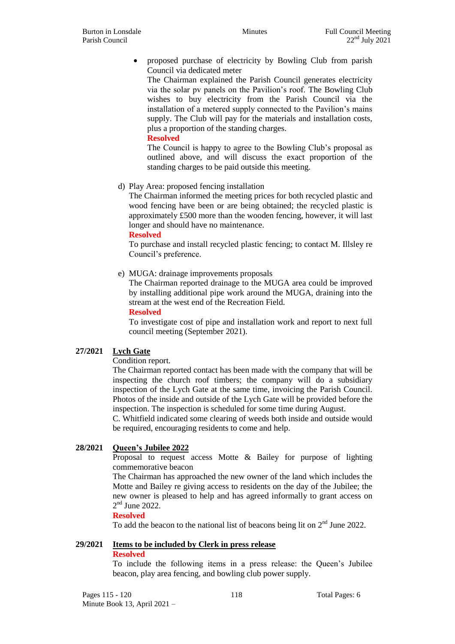• proposed purchase of electricity by Bowling Club from parish Council via dedicated meter

The Chairman explained the Parish Council generates electricity via the solar pv panels on the Pavilion's roof. The Bowling Club wishes to buy electricity from the Parish Council via the installation of a metered supply connected to the Pavilion's mains supply. The Club will pay for the materials and installation costs, plus a proportion of the standing charges.

#### **Resolved**

The Council is happy to agree to the Bowling Club's proposal as outlined above, and will discuss the exact proportion of the standing charges to be paid outside this meeting.

d) Play Area: proposed fencing installation

The Chairman informed the meeting prices for both recycled plastic and wood fencing have been or are being obtained; the recycled plastic is approximately £500 more than the wooden fencing, however, it will last longer and should have no maintenance.

**Resolved**

To purchase and install recycled plastic fencing; to contact M. Illsley re Council's preference.

e) MUGA: drainage improvements proposals

The Chairman reported drainage to the MUGA area could be improved by installing additional pipe work around the MUGA, draining into the stream at the west end of the Recreation Field.

**Resolved**

To investigate cost of pipe and installation work and report to next full council meeting (September 2021).

# **27/2021 Lych Gate**

Condition report.

The Chairman reported contact has been made with the company that will be inspecting the church roof timbers; the company will do a subsidiary inspection of the Lych Gate at the same time, invoicing the Parish Council. Photos of the inside and outside of the Lych Gate will be provided before the inspection. The inspection is scheduled for some time during August.

C. Whitfield indicated some clearing of weeds both inside and outside would be required, encouraging residents to come and help.

# **28/2021 Queen's Jubilee 2022**

Proposal to request access Motte & Bailey for purpose of lighting commemorative beacon

The Chairman has approached the new owner of the land which includes the Motte and Bailey re giving access to residents on the day of the Jubilee; the new owner is pleased to help and has agreed informally to grant access on  $2<sup>nd</sup>$  June 2022.

#### **Resolved**

To add the beacon to the national list of beacons being lit on  $2<sup>nd</sup>$  June 2022.

# **29/2021 Items to be included by Clerk in press release**

#### **Resolved**

To include the following items in a press release: the Queen's Jubilee beacon, play area fencing, and bowling club power supply.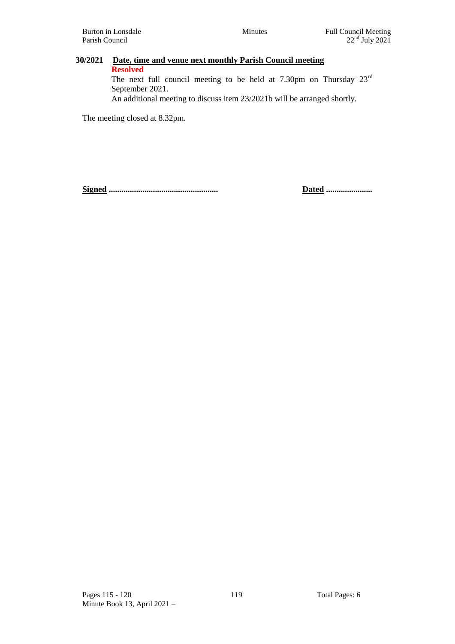# Burton in Lonsdale Minutes Full Council Meeting

# **30/2021 Date, time and venue next monthly Parish Council meeting Resolved** The next full council meeting to be held at 7.30pm on Thursday 23rd

September 2021.

An additional meeting to discuss item 23/2021b will be arranged shortly.

The meeting closed at 8.32pm.

**Signed .................................................... Dated ......................**